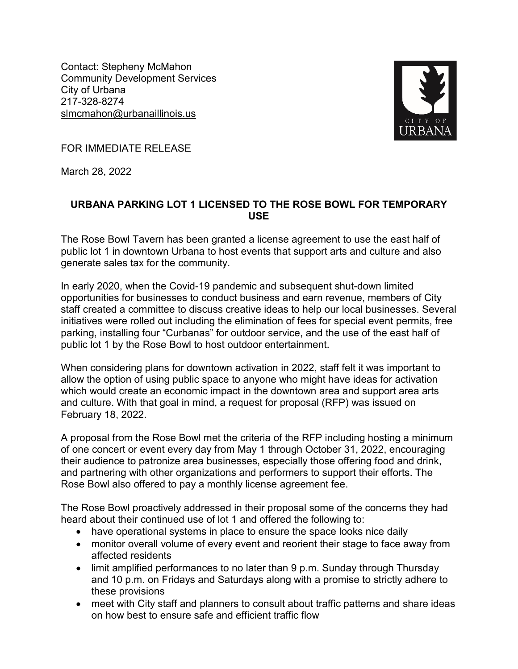Contact: Stepheny McMahon Community Development Services City of Urbana 217-328-8274 slmcmahon@urbanaillinois.us



FOR IMMEDIATE RELEASE

March 28, 2022

## **URBANA PARKING LOT 1 LICENSED TO THE ROSE BOWL FOR TEMPORARY USE**

The Rose Bowl Tavern has been granted a license agreement to use the east half of public lot 1 in downtown Urbana to host events that support arts and culture and also generate sales tax for the community.

In early 2020, when the Covid-19 pandemic and subsequent shut-down limited opportunities for businesses to conduct business and earn revenue, members of City staff created a committee to discuss creative ideas to help our local businesses. Several initiatives were rolled out including the elimination of fees for special event permits, free parking, installing four "Curbanas" for outdoor service, and the use of the east half of public lot 1 by the Rose Bowl to host outdoor entertainment.

When considering plans for downtown activation in 2022, staff felt it was important to allow the option of using public space to anyone who might have ideas for activation which would create an economic impact in the downtown area and support area arts and culture. With that goal in mind, a request for proposal (RFP) was issued on February 18, 2022.

A proposal from the Rose Bowl met the criteria of the RFP including hosting a minimum of one concert or event every day from May 1 through October 31, 2022, encouraging their audience to patronize area businesses, especially those offering food and drink, and partnering with other organizations and performers to support their efforts. The Rose Bowl also offered to pay a monthly license agreement fee.

The Rose Bowl proactively addressed in their proposal some of the concerns they had heard about their continued use of lot 1 and offered the following to:

- have operational systems in place to ensure the space looks nice daily
- monitor overall volume of every event and reorient their stage to face away from affected residents
- limit amplified performances to no later than 9 p.m. Sunday through Thursday and 10 p.m. on Fridays and Saturdays along with a promise to strictly adhere to these provisions
- meet with City staff and planners to consult about traffic patterns and share ideas on how best to ensure safe and efficient traffic flow